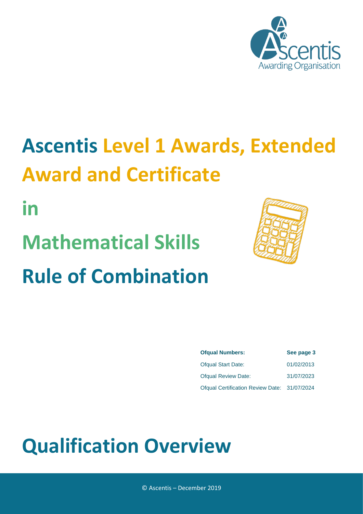

## **Ascentis Level 1 Awards, Extended Award and Certificate**

**in**

# **Mathematical Skills Rule of Combination**



| <b>Ofqual Numbers:</b>                       | See page 3 |
|----------------------------------------------|------------|
| <b>Ofqual Start Date:</b>                    | 01/02/2013 |
| <b>Ofqual Review Date:</b>                   | 31/07/2023 |
| Ofqual Certification Review Date: 31/07/2024 |            |

## **Qualification Overview**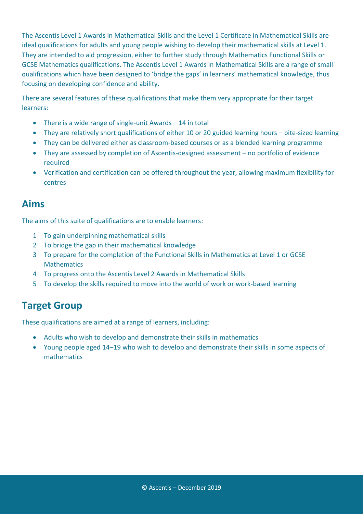The Ascentis Level 1 Awards in Mathematical Skills and the Level 1 Certificate in Mathematical Skills are ideal qualifications for adults and young people wishing to develop their mathematical skills at Level 1. They are intended to aid progression, either to further study through Mathematics Functional Skills or GCSE Mathematics qualifications. The Ascentis Level 1 Awards in Mathematical Skills are a range of small qualifications which have been designed to 'bridge the gaps' in learners' mathematical knowledge, thus focusing on developing confidence and ability.

There are several features of these qualifications that make them very appropriate for their target learners:

- There is a wide range of single-unit Awards 14 in total
- They are relatively short qualifications of either 10 or 20 guided learning hours bite-sized learning
- They can be delivered either as classroom-based courses or as a blended learning programme
- They are assessed by completion of Ascentis-designed assessment no portfolio of evidence required
- Verification and certification can be offered throughout the year, allowing maximum flexibility for centres

### **Aims**

The aims of this suite of qualifications are to enable learners:

- 1 To gain underpinning mathematical skills
- 2 To bridge the gap in their mathematical knowledge
- 3 To prepare for the completion of the Functional Skills in Mathematics at Level 1 or GCSE Mathematics
- 4 To progress onto the Ascentis Level 2 Awards in Mathematical Skills
- 5 To develop the skills required to move into the world of work or work-based learning

### **Target Group**

These qualifications are aimed at a range of learners, including:

- Adults who wish to develop and demonstrate their skills in mathematics
- Young people aged 14–19 who wish to develop and demonstrate their skills in some aspects of mathematics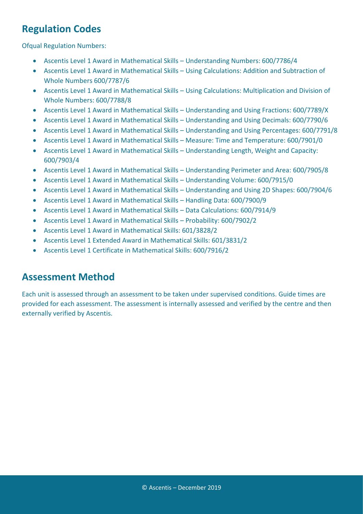## **Regulation Codes**

Ofqual Regulation Numbers:

- Ascentis Level 1 Award in Mathematical Skills Understanding Numbers: 600/7786/4
- Ascentis Level 1 Award in Mathematical Skills Using Calculations: Addition and Subtraction of Whole Numbers 600/7787/6
- Ascentis Level 1 Award in Mathematical Skills Using Calculations: Multiplication and Division of Whole Numbers: 600/7788/8
- Ascentis Level 1 Award in Mathematical Skills Understanding and Using Fractions: 600/7789/X
- Ascentis Level 1 Award in Mathematical Skills Understanding and Using Decimals: 600/7790/6
- Ascentis Level 1 Award in Mathematical Skills Understanding and Using Percentages: 600/7791/8
- Ascentis Level 1 Award in Mathematical Skills Measure: Time and Temperature: 600/7901/0
- Ascentis Level 1 Award in Mathematical Skills Understanding Length, Weight and Capacity: 600/7903/4
- Ascentis Level 1 Award in Mathematical Skills Understanding Perimeter and Area: 600/7905/8
- Ascentis Level 1 Award in Mathematical Skills Understanding Volume: 600/7915/0
- Ascentis Level 1 Award in Mathematical Skills Understanding and Using 2D Shapes: 600/7904/6
- Ascentis Level 1 Award in Mathematical Skills Handling Data: 600/7900/9
- Ascentis Level 1 Award in Mathematical Skills Data Calculations: 600/7914/9
- Ascentis Level 1 Award in Mathematical Skills Probability: 600/7902/2
- Ascentis Level 1 Award in Mathematical Skills: 601/3828/2
- Ascentis Level 1 Extended Award in Mathematical Skills: 601/3831/2
- Ascentis Level 1 Certificate in Mathematical Skills: 600/7916/2

### **Assessment Method**

Each unit is assessed through an assessment to be taken under supervised conditions. Guide times are provided for each assessment. The assessment is internally assessed and verified by the centre and then externally verified by Ascentis.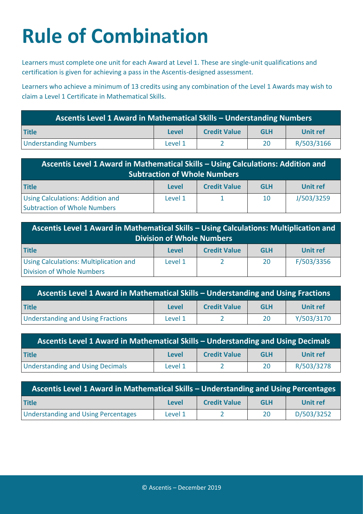## **Rule of Combination**

Learners must complete one unit for each Award at Level 1. These are single-unit qualifications and certification is given for achieving a pass in the Ascentis-designed assessment.

Learners who achieve a minimum of 13 credits using any combination of the Level 1 Awards may wish to claim a Level 1 Certificate in Mathematical Skills.

| Ascentis Level 1 Award in Mathematical Skills - Understanding Numbers |              |                     |            |            |
|-----------------------------------------------------------------------|--------------|---------------------|------------|------------|
| <b>Title</b>                                                          | <b>Level</b> | <b>Credit Value</b> | <b>GLH</b> | Unit ref   |
| <b>Understanding Numbers</b>                                          | Level 1      |                     | 20         | R/503/3166 |

| Ascentis Level 1 Award in Mathematical Skills - Using Calculations: Addition and<br><b>Subtraction of Whole Numbers</b> |              |                     |            |                 |
|-------------------------------------------------------------------------------------------------------------------------|--------------|---------------------|------------|-----------------|
| <b>Title</b>                                                                                                            | <b>Level</b> | <b>Credit Value</b> | <b>GLH</b> | <b>Unit ref</b> |
| <b>Using Calculations: Addition and</b><br><b>Subtraction of Whole Numbers</b>                                          | Level 1      |                     | 10         | J/503/3259      |

| Ascentis Level 1 Award in Mathematical Skills - Using Calculations: Multiplication and<br>Division of Whole Numbers |         |                     |            |                 |
|---------------------------------------------------------------------------------------------------------------------|---------|---------------------|------------|-----------------|
| <b>Title</b>                                                                                                        | Level   | <b>Credit Value</b> | <b>GLH</b> | <b>Unit ref</b> |
| Using Calculations: Multiplication and<br><b>Division of Whole Numbers</b>                                          | Level 1 |                     | 20         | F/503/3356      |

| Ascentis Level 1 Award in Mathematical Skills - Understanding and Using Fractions |              |                     |            |            |
|-----------------------------------------------------------------------------------|--------------|---------------------|------------|------------|
| <b>Title</b>                                                                      | <b>Level</b> | <b>Credit Value</b> | <b>GLH</b> | Unit ref   |
| <b>Understanding and Using Fractions</b>                                          | Level 1      |                     | 20         | Y/503/3170 |

| Ascentis Level 1 Award in Mathematical Skills – Understanding and Using Decimals |              |                     |            |            |
|----------------------------------------------------------------------------------|--------------|---------------------|------------|------------|
| <b>Title</b>                                                                     | <b>Level</b> | <b>Credit Value</b> | <b>GLH</b> | Unit ref   |
| <b>Understanding and Using Decimals</b>                                          | Level 1      |                     | 20         | R/503/3278 |

| Ascentis Level 1 Award in Mathematical Skills - Understanding and Using Percentages |         |                     |            |            |
|-------------------------------------------------------------------------------------|---------|---------------------|------------|------------|
| <b>Title</b>                                                                        | Level   | <b>Credit Value</b> | <b>GLH</b> | Unit ref   |
| <b>Understanding and Using Percentages</b>                                          | Level 1 |                     | 20         | D/503/3252 |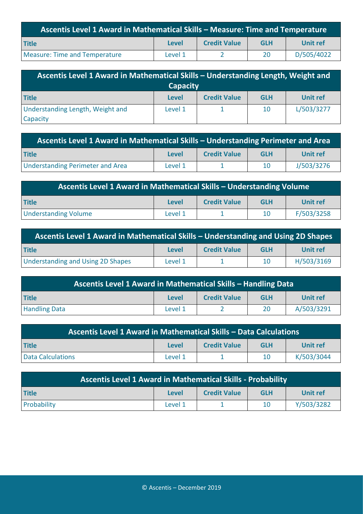| Ascentis Level 1 Award in Mathematical Skills - Measure: Time and Temperature |         |                     |            |            |
|-------------------------------------------------------------------------------|---------|---------------------|------------|------------|
| <b>Title</b>                                                                  | Level   | <b>Credit Value</b> | <b>GLH</b> | Unit ref   |
| Measure: Time and Temperature                                                 | Level 1 |                     | 20         | D/505/4022 |

| Ascentis Level 1 Award in Mathematical Skills - Understanding Length, Weight and<br><b>Capacity</b> |              |                     |            |                 |
|-----------------------------------------------------------------------------------------------------|--------------|---------------------|------------|-----------------|
| <b>Title</b>                                                                                        | <b>Level</b> | <b>Credit Value</b> | <b>GLH</b> | <b>Unit ref</b> |
| Understanding Length, Weight and                                                                    | Level 1      |                     | 10         | L/503/3277      |
| Capacity                                                                                            |              |                     |            |                 |

| Ascentis Level 1 Award in Mathematical Skills - Understanding Perimeter and Area |         |                     |            |            |
|----------------------------------------------------------------------------------|---------|---------------------|------------|------------|
| <b>Title</b>                                                                     | Level   | <b>Credit Value</b> | <b>GLH</b> | Unit ref   |
| <b>Understanding Perimeter and Area</b>                                          | Level 1 |                     | 10         | J/503/3276 |

| Ascentis Level 1 Award in Mathematical Skills - Understanding Volume |         |                     |            |                 |
|----------------------------------------------------------------------|---------|---------------------|------------|-----------------|
| <b>Title</b>                                                         | Level   | <b>Credit Value</b> | <b>GLH</b> | <b>Unit ref</b> |
| <b>Understanding Volume</b>                                          | Level 1 |                     | 10         | F/503/3258      |

| Ascentis Level 1 Award in Mathematical Skills - Understanding and Using 2D Shapes |              |                     |            |            |
|-----------------------------------------------------------------------------------|--------------|---------------------|------------|------------|
| <b>Title</b>                                                                      | <b>Level</b> | <b>Credit Value</b> | <b>GLH</b> | Unit ref   |
| <b>Understanding and Using 2D Shapes</b>                                          | Level 1      |                     | 10         | H/503/3169 |

| Ascentis Level 1 Award in Mathematical Skills – Handling Data |              |                     |            |            |
|---------------------------------------------------------------|--------------|---------------------|------------|------------|
| <b>Title</b>                                                  | <b>Level</b> | <b>Credit Value</b> | <b>GLH</b> | Unit ref   |
| <b>Handling Data</b>                                          | Level 1      |                     | 20         | A/503/3291 |

| Ascentis Level 1 Award in Mathematical Skills - Data Calculations |              |                     |            |            |
|-------------------------------------------------------------------|--------------|---------------------|------------|------------|
| <b>Title</b>                                                      | <b>Level</b> | <b>Credit Value</b> | <b>GLH</b> | Unit ref   |
| Data Calculations                                                 | Level 1      |                     | 10         | K/503/3044 |

| Ascentis Level 1 Award in Mathematical Skills - Probability |              |                     |            |            |
|-------------------------------------------------------------|--------------|---------------------|------------|------------|
| <b>Title</b>                                                | <b>Level</b> | <b>Credit Value</b> | <b>GLH</b> | Unit ref   |
| Probability                                                 | Level 1      |                     | 10         | Y/503/3282 |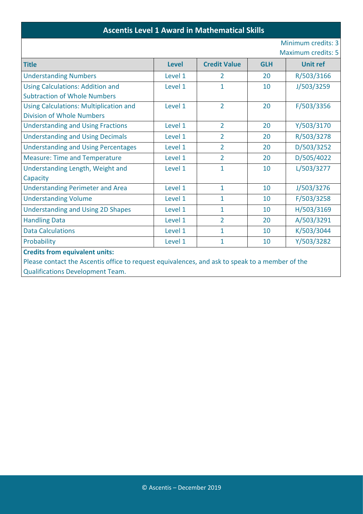#### **Ascentis Level 1 Award in Mathematical Skills**

Minimum credits: 3

Maximum credits: 5

| <b>Title</b>                                                                                    | <b>Level</b> | <b>Credit Value</b> | <b>GLH</b> | <b>Unit ref</b> |
|-------------------------------------------------------------------------------------------------|--------------|---------------------|------------|-----------------|
| <b>Understanding Numbers</b>                                                                    | Level 1      | $\overline{2}$      | 20         | R/503/3166      |
| <b>Using Calculations: Addition and</b>                                                         | Level 1      | 1                   | 10         | J/503/3259      |
| <b>Subtraction of Whole Numbers</b>                                                             |              |                     |            |                 |
| <b>Using Calculations: Multiplication and</b>                                                   | Level 1      | $\overline{2}$      | 20         | F/503/3356      |
| <b>Division of Whole Numbers</b>                                                                |              |                     |            |                 |
| <b>Understanding and Using Fractions</b>                                                        | Level 1      | $\overline{2}$      | 20         | Y/503/3170      |
| <b>Understanding and Using Decimals</b>                                                         | Level 1      | $\overline{2}$      | 20         | R/503/3278      |
| <b>Understanding and Using Percentages</b>                                                      | Level 1      | $\overline{2}$      | 20         | D/503/3252      |
| <b>Measure: Time and Temperature</b>                                                            | Level 1      | $\overline{2}$      | 20         | D/505/4022      |
| Understanding Length, Weight and                                                                | Level 1      | $\mathbf 1$         | 10         | L/503/3277      |
| Capacity                                                                                        |              |                     |            |                 |
| <b>Understanding Perimeter and Area</b>                                                         | Level 1      | $\mathbf{1}$        | 10         | J/503/3276      |
| <b>Understanding Volume</b>                                                                     | Level 1      | $\mathbf 1$         | 10         | F/503/3258      |
| <b>Understanding and Using 2D Shapes</b>                                                        | Level 1      | 1                   | 10         | H/503/3169      |
| <b>Handling Data</b>                                                                            | Level 1      | $\overline{2}$      | 20         | A/503/3291      |
| <b>Data Calculations</b>                                                                        | Level 1      | $\mathbf 1$         | 10         | K/503/3044      |
| Probability                                                                                     | Level 1      | $\mathbf 1$         | 10         | Y/503/3282      |
| <b>Credits from equivalent units:</b>                                                           |              |                     |            |                 |
| Please contact the Ascentis office to request equivalences, and ask to speak to a member of the |              |                     |            |                 |

Qualifications Development Team.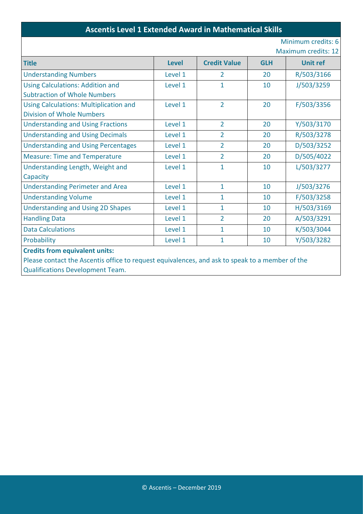#### **Ascentis Level 1 Extended Award in Mathematical Skills**

Minimum credits: 6

Maximum credits: 12

| <b>Title</b>                                  | <b>Level</b> | <b>Credit Value</b> | <b>GLH</b> | <b>Unit ref</b> |
|-----------------------------------------------|--------------|---------------------|------------|-----------------|
| <b>Understanding Numbers</b>                  | Level 1      | $\overline{2}$      | 20         | R/503/3166      |
| <b>Using Calculations: Addition and</b>       | Level 1      | $\mathbf{1}$        | 10         | J/503/3259      |
| <b>Subtraction of Whole Numbers</b>           |              |                     |            |                 |
| <b>Using Calculations: Multiplication and</b> | Level 1      | $\overline{2}$      | 20         | F/503/3356      |
| <b>Division of Whole Numbers</b>              |              |                     |            |                 |
| <b>Understanding and Using Fractions</b>      | Level 1      | $\overline{2}$      | 20         | Y/503/3170      |
| <b>Understanding and Using Decimals</b>       | Level 1      | $\overline{2}$      | 20         | R/503/3278      |
| <b>Understanding and Using Percentages</b>    | Level 1      | $\overline{2}$      | 20         | D/503/3252      |
| <b>Measure: Time and Temperature</b>          | Level 1      | $\overline{2}$      | 20         | D/505/4022      |
| Understanding Length, Weight and              | Level 1      | $\mathbf{1}$        | 10         | L/503/3277      |
| Capacity                                      |              |                     |            |                 |
| <b>Understanding Perimeter and Area</b>       | Level 1      | $\mathbf{1}$        | 10         | J/503/3276      |
| <b>Understanding Volume</b>                   | Level 1      | 1                   | 10         | F/503/3258      |
| <b>Understanding and Using 2D Shapes</b>      | Level 1      | $\mathbf{1}$        | 10         | H/503/3169      |
| <b>Handling Data</b>                          | Level 1      | $\overline{2}$      | 20         | A/503/3291      |
| <b>Data Calculations</b>                      | Level 1      | $\mathbf{1}$        | 10         | K/503/3044      |
| Probability                                   | Level 1      | 1                   | 10         | Y/503/3282      |
| <b>Credits from equivalent units:</b>         |              |                     |            |                 |

Please contact the Ascentis office to request equivalences, and ask to speak to a member of the Qualifications Development Team.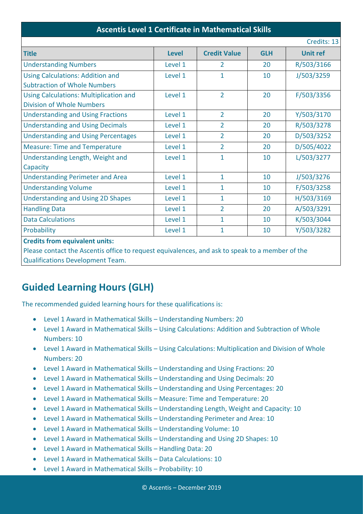#### **Ascentis Level 1 Certificate in Mathematical Skills**

|                                               |              |                     |            | Credits: 13     |
|-----------------------------------------------|--------------|---------------------|------------|-----------------|
| <b>Title</b>                                  | <b>Level</b> | <b>Credit Value</b> | <b>GLH</b> | <b>Unit ref</b> |
| <b>Understanding Numbers</b>                  | Level 1      | 2                   | 20         | R/503/3166      |
| <b>Using Calculations: Addition and</b>       | Level 1      | 1                   | 10         | J/503/3259      |
| <b>Subtraction of Whole Numbers</b>           |              |                     |            |                 |
| <b>Using Calculations: Multiplication and</b> | Level 1      | $\overline{2}$      | 20         | F/503/3356      |
| <b>Division of Whole Numbers</b>              |              |                     |            |                 |
| <b>Understanding and Using Fractions</b>      | Level 1      | $\overline{2}$      | 20         | Y/503/3170      |
| <b>Understanding and Using Decimals</b>       | Level 1      | $\overline{2}$      | 20         | R/503/3278      |
| <b>Understanding and Using Percentages</b>    | Level 1      | $\overline{2}$      | 20         | D/503/3252      |
| <b>Measure: Time and Temperature</b>          | Level 1      | $\overline{2}$      | 20         | D/505/4022      |
| Understanding Length, Weight and              | Level 1      | 1                   | 10         | L/503/3277      |
| Capacity                                      |              |                     |            |                 |
| <b>Understanding Perimeter and Area</b>       | Level 1      | $\mathbf{1}$        | 10         | J/503/3276      |
| <b>Understanding Volume</b>                   | Level 1      | $\mathbf 1$         | 10         | F/503/3258      |
| <b>Understanding and Using 2D Shapes</b>      | Level 1      | $\mathbf 1$         | 10         | H/503/3169      |
| <b>Handling Data</b>                          | Level 1      | $\overline{2}$      | 20         | A/503/3291      |
| <b>Data Calculations</b>                      | Level 1      | $\mathbf{1}$        | 10         | K/503/3044      |
| Probability                                   | Level 1      | 1                   | 10         | Y/503/3282      |
| <b>Credits from equivalent units:</b>         |              |                     |            |                 |

Please contact the Ascentis office to request equivalences, and ask to speak to a member of the Qualifications Development Team.

## **Guided Learning Hours (GLH)**

The recommended guided learning hours for these qualifications is:

- Level 1 Award in Mathematical Skills Understanding Numbers: 20
- Level 1 Award in Mathematical Skills Using Calculations: Addition and Subtraction of Whole Numbers: 10
- Level 1 Award in Mathematical Skills Using Calculations: Multiplication and Division of Whole Numbers: 20
- Level 1 Award in Mathematical Skills Understanding and Using Fractions: 20
- Level 1 Award in Mathematical Skills Understanding and Using Decimals: 20
- Level 1 Award in Mathematical Skills Understanding and Using Percentages: 20
- Level 1 Award in Mathematical Skills Measure: Time and Temperature: 20
- Level 1 Award in Mathematical Skills Understanding Length, Weight and Capacity: 10
- Level 1 Award in Mathematical Skills Understanding Perimeter and Area: 10
- Level 1 Award in Mathematical Skills Understanding Volume: 10
- Level 1 Award in Mathematical Skills Understanding and Using 2D Shapes: 10
- Level 1 Award in Mathematical Skills Handling Data: 20
- Level 1 Award in Mathematical Skills Data Calculations: 10
- Level 1 Award in Mathematical Skills Probability: 10